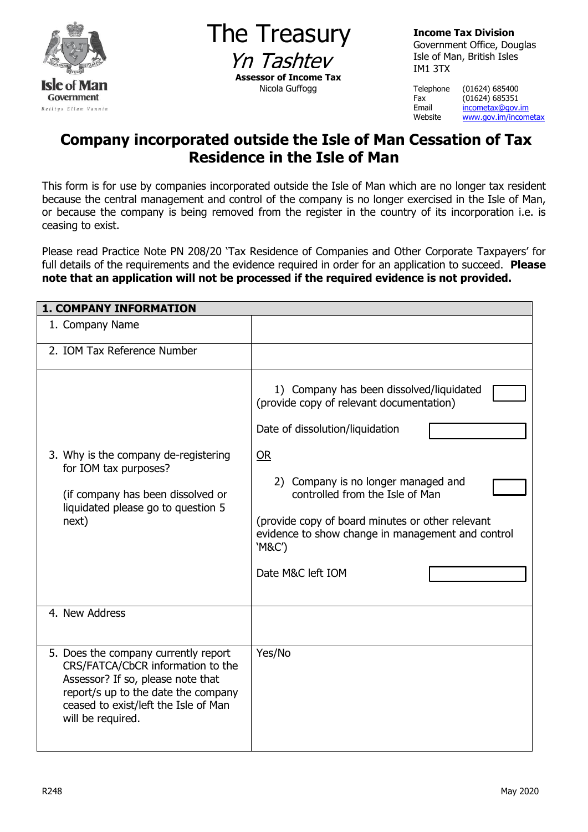

The Treasury Yn Tashtey **Assessor of Income Tax** Nicola Guffogg

**Income Tax Division** Government Office, Douglas Isle of Man, British Isles IM1 3TX

Telephone (01624) 685400 Fax (01624) 685351<br>Email <u>incometax@gov.</u> Email <u>[incometax@gov.im](mailto:incometax@gov.im)</u><br>Website www.gov.im/income [www.gov.im/incometax](http://www.gov.im/incometax)

## **Company incorporated outside the Isle of Man Cessation of Tax Residence in the Isle of Man**

This form is for use by companies incorporated outside the Isle of Man which are no longer tax resident because the central management and control of the company is no longer exercised in the Isle of Man, or because the company is being removed from the register in the country of its incorporation i.e. is ceasing to exist.

Please read Practice Note PN 208/20 'Tax Residence of Companies and Other Corporate Taxpayers' for full details of the requirements and the evidence required in order for an application to succeed. **Please note that an application will not be processed if the required evidence is not provided.** 

| <b>1. COMPANY INFORMATION</b>                                                                                                                                                                                      |                                                                                                                                                                                                                                                                                                                                                 |
|--------------------------------------------------------------------------------------------------------------------------------------------------------------------------------------------------------------------|-------------------------------------------------------------------------------------------------------------------------------------------------------------------------------------------------------------------------------------------------------------------------------------------------------------------------------------------------|
| 1. Company Name                                                                                                                                                                                                    |                                                                                                                                                                                                                                                                                                                                                 |
| 2. IOM Tax Reference Number                                                                                                                                                                                        |                                                                                                                                                                                                                                                                                                                                                 |
| 3. Why is the company de-registering<br>for IOM tax purposes?<br>(if company has been dissolved or<br>liquidated please go to question 5<br>next)                                                                  | 1) Company has been dissolved/liquidated<br>(provide copy of relevant documentation)<br>Date of dissolution/liquidation<br>OR<br>2) Company is no longer managed and<br>controlled from the Isle of Man<br>(provide copy of board minutes or other relevant<br>evidence to show change in management and control<br>'M&C')<br>Date M&C left IOM |
| 4. New Address                                                                                                                                                                                                     |                                                                                                                                                                                                                                                                                                                                                 |
| 5. Does the company currently report<br>CRS/FATCA/CbCR information to the<br>Assessor? If so, please note that<br>report/s up to the date the company<br>ceased to exist/left the Isle of Man<br>will be required. | Yes/No                                                                                                                                                                                                                                                                                                                                          |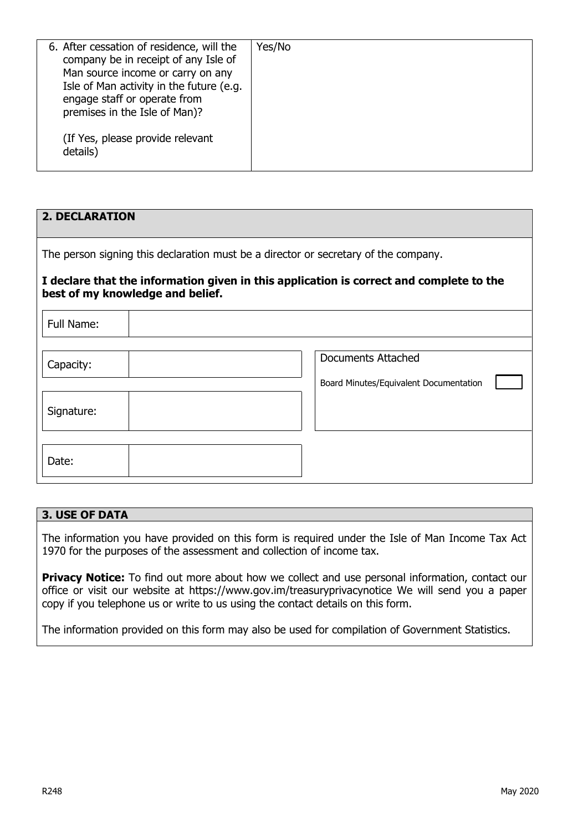| 6. After cessation of residence, will the<br>company be in receipt of any Isle of<br>Man source income or carry on any<br>Isle of Man activity in the future (e.g.<br>engage staff or operate from<br>premises in the Isle of Man)?<br>(If Yes, please provide relevant<br>details) | Yes/No |
|-------------------------------------------------------------------------------------------------------------------------------------------------------------------------------------------------------------------------------------------------------------------------------------|--------|

| <b>2. DECLARATION</b>                                                                                                       |                                        |  |  |  |  |
|-----------------------------------------------------------------------------------------------------------------------------|----------------------------------------|--|--|--|--|
| The person signing this declaration must be a director or secretary of the company.                                         |                                        |  |  |  |  |
| I declare that the information given in this application is correct and complete to the<br>best of my knowledge and belief. |                                        |  |  |  |  |
| Full Name:                                                                                                                  |                                        |  |  |  |  |
|                                                                                                                             |                                        |  |  |  |  |
| Capacity:                                                                                                                   | <b>Documents Attached</b>              |  |  |  |  |
|                                                                                                                             | Board Minutes/Equivalent Documentation |  |  |  |  |
| Signature:                                                                                                                  |                                        |  |  |  |  |
|                                                                                                                             |                                        |  |  |  |  |
| Date:                                                                                                                       |                                        |  |  |  |  |

## **3. USE OF DATA**

The information you have provided on this form is required under the Isle of Man Income Tax Act 1970 for the purposes of the assessment and collection of income tax.

**Privacy Notice:** To find out more about how we collect and use personal information, contact our office or visit our website at https://www.gov.im/treasuryprivacynotice We will send you a paper copy if you telephone us or write to us using the contact details on this form.

The information provided on this form may also be used for compilation of Government Statistics.